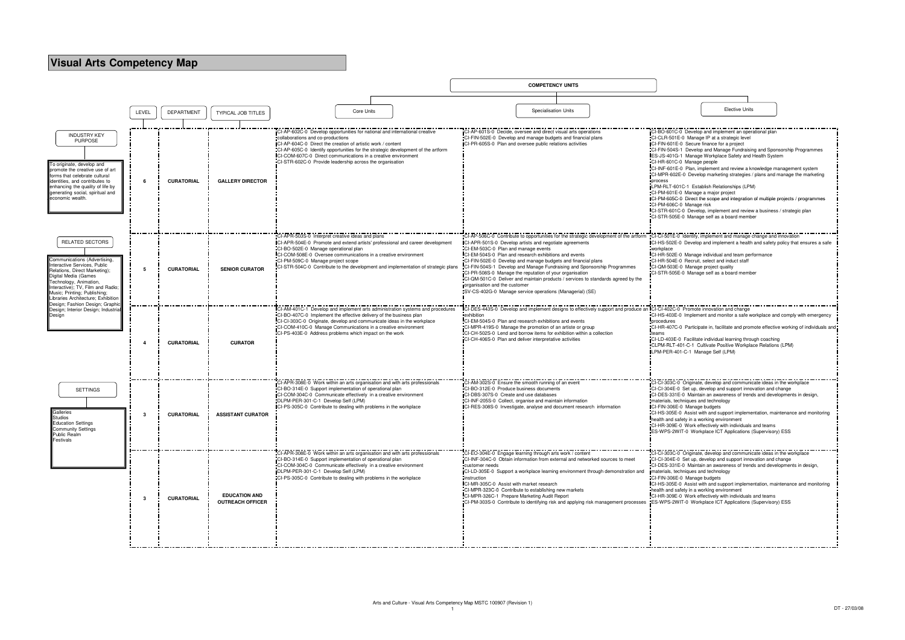|                                                                                                                                                                                                                                                                                                                                                                                                                                                                                                                                                                                                                                                                                                                                                                                                                                                                                                                                                                                                                                                                                                              | <b>Elective Units</b> |                                                                                                                                                                           |
|--------------------------------------------------------------------------------------------------------------------------------------------------------------------------------------------------------------------------------------------------------------------------------------------------------------------------------------------------------------------------------------------------------------------------------------------------------------------------------------------------------------------------------------------------------------------------------------------------------------------------------------------------------------------------------------------------------------------------------------------------------------------------------------------------------------------------------------------------------------------------------------------------------------------------------------------------------------------------------------------------------------------------------------------------------------------------------------------------------------|-----------------------|---------------------------------------------------------------------------------------------------------------------------------------------------------------------------|
|                                                                                                                                                                                                                                                                                                                                                                                                                                                                                                                                                                                                                                                                                                                                                                                                                                                                                                                                                                                                                                                                                                              |                       |                                                                                                                                                                           |
| CI-BO-601C-0 Develop and implement an operational plan<br>CI-CLR-501E-0 Manage IP at a strategic level<br>CI-FIN-601E-0 Secure finance for a project<br>CI-FIN-504S-1 Develop and Manage Fundraising and Sponsorship Programmes<br>IES-JS-401G-1 Manage Workplace Safety and Health System<br>CI-HR-601C-0 Manage people<br>CI-INF-601E-0 Plan, implement and review a knowledge management system<br>CI-MPR-602E-0 Develop marketing strategies / plans and manage the marketing<br>process<br>LPM-RLT-601C-1 Establish Relationships (LPM)<br>CI-PM-601E-0 Manage a major project<br>CI-PM-605C-0 Direct the scope and integration of multiple projects / programmes<br>CI-PM-606C-0 Manage risk<br>CI-STR-601C-0 Develop, implement and review a business / strategic plan<br>CI-STR-505E-0 Manage self as a board member<br>CI-CI-501E-0 Identify, implement and manage change and innovation<br>workplace<br>CI-HR-502E-0 Manage individual and team performance<br>CI-HR-504E-0 Recruit, select and induct staff<br>CI-QM-503E-0 Manage project quality<br>CI-STR-505E-0 Manage self as a board member |                       | CI-HS-502E-0 Develop and implement a health and safety policy that ensures a safe                                                                                         |
| CI-CI-402C-0 Promote innovation and change<br>procedures<br>teams<br>CI-LD-403E-0 Facilitate individual learning through coaching<br>CLPM-RLT-401-C-1 Cultivate Positive Workplace Relations (LPM)<br>LPM-PER-401-C-1 Manage Self (LPM)                                                                                                                                                                                                                                                                                                                                                                                                                                                                                                                                                                                                                                                                                                                                                                                                                                                                      |                       | CI-HS-403E-0 Implement and monitor a safe workplace and comply with emergency<br>CI-HR-407C-0 Participate in, facilitate and promote effective working of individuals and |
| CI-CI-303C-0 Originate, develop and communicate ideas in the workplace<br>CI-CI-304E-0 Set up, develop and support innovation and change<br>CI-DES-331E-0 Maintain an awareness of trends and developments in design,<br>materials, techniques and technology<br>CI-FIN-306E-0 Manage budgets<br>health and safety in a working environment<br>CI-HR-309E-0 Work effectively with individuals and teams<br>ES-WPS-2WIT-0 Workplace ICT Applications (Supervisory) ESS                                                                                                                                                                                                                                                                                                                                                                                                                                                                                                                                                                                                                                        |                       | CI-HS-305E-0 Assist with and support implementation, maintenance and monitoring                                                                                           |
| CI-CI-303C-0 Originate, develop and communicate ideas in the workplace<br>CI-CI-304E-0 Set up, develop and support innovation and change<br>CI-DES-331E-0 Maintain an awareness of trends and developments in design,<br>materials, techniques and technology<br>CI-FIN-306E-0 Manage budgets<br>ICI-HS-305E-0 Assist with and support implementation, maintenance and monitoring<br>health and safety in a working environment<br>CI-HR-309E-0 Work effectively with individuals and teams<br>ES-WPS-2WIT-0 Workplace ICT Applications (Supervisory) ESS<br>ľ                                                                                                                                                                                                                                                                                                                                                                                                                                                                                                                                               |                       |                                                                                                                                                                           |

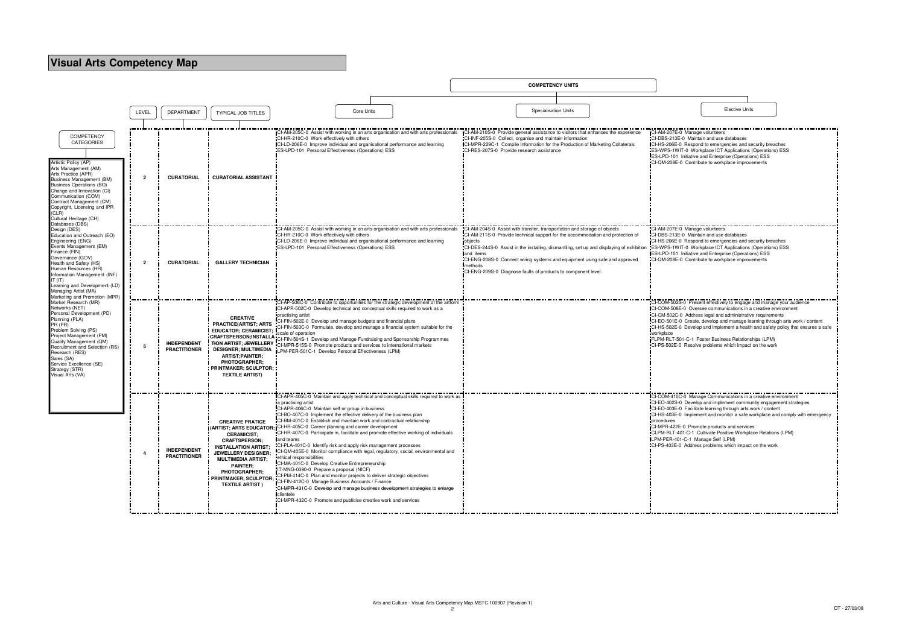|                                                                                                                                                                                                                                                                                                                                              |                |                                           |                                                                                                                                                                                                                                                                      |                                                                                                                                                                                                                                                                                                                                                                                                                                                                                                                                                                                                                                                                                                                                                                                                                                                                                                                                                                                                                                                                                  |                                           | <b>COMPETENCY UNITS</b>                                                                                                                                                                                                                                                                                  |                                                                                                                                                    |                                                                                                |                                                                                                                                                                                                                                                                                                                                                                                                                                                                                             |  |
|----------------------------------------------------------------------------------------------------------------------------------------------------------------------------------------------------------------------------------------------------------------------------------------------------------------------------------------------|----------------|-------------------------------------------|----------------------------------------------------------------------------------------------------------------------------------------------------------------------------------------------------------------------------------------------------------------------|----------------------------------------------------------------------------------------------------------------------------------------------------------------------------------------------------------------------------------------------------------------------------------------------------------------------------------------------------------------------------------------------------------------------------------------------------------------------------------------------------------------------------------------------------------------------------------------------------------------------------------------------------------------------------------------------------------------------------------------------------------------------------------------------------------------------------------------------------------------------------------------------------------------------------------------------------------------------------------------------------------------------------------------------------------------------------------|-------------------------------------------|----------------------------------------------------------------------------------------------------------------------------------------------------------------------------------------------------------------------------------------------------------------------------------------------------------|----------------------------------------------------------------------------------------------------------------------------------------------------|------------------------------------------------------------------------------------------------|---------------------------------------------------------------------------------------------------------------------------------------------------------------------------------------------------------------------------------------------------------------------------------------------------------------------------------------------------------------------------------------------------------------------------------------------------------------------------------------------|--|
|                                                                                                                                                                                                                                                                                                                                              |                |                                           |                                                                                                                                                                                                                                                                      |                                                                                                                                                                                                                                                                                                                                                                                                                                                                                                                                                                                                                                                                                                                                                                                                                                                                                                                                                                                                                                                                                  |                                           |                                                                                                                                                                                                                                                                                                          |                                                                                                                                                    |                                                                                                |                                                                                                                                                                                                                                                                                                                                                                                                                                                                                             |  |
|                                                                                                                                                                                                                                                                                                                                              | LEVEL          | <b>DEPARTMENT</b>                         | <b>TYPICAL JOB TITLES</b>                                                                                                                                                                                                                                            | Core Units                                                                                                                                                                                                                                                                                                                                                                                                                                                                                                                                                                                                                                                                                                                                                                                                                                                                                                                                                                                                                                                                       |                                           | <b>Specialisation Units</b>                                                                                                                                                                                                                                                                              |                                                                                                                                                    |                                                                                                | <b>Elective Units</b>                                                                                                                                                                                                                                                                                                                                                                                                                                                                       |  |
|                                                                                                                                                                                                                                                                                                                                              |                |                                           |                                                                                                                                                                                                                                                                      |                                                                                                                                                                                                                                                                                                                                                                                                                                                                                                                                                                                                                                                                                                                                                                                                                                                                                                                                                                                                                                                                                  |                                           |                                                                                                                                                                                                                                                                                                          |                                                                                                                                                    |                                                                                                |                                                                                                                                                                                                                                                                                                                                                                                                                                                                                             |  |
| <b>COMPETENCY</b><br><b>CATEGORIES</b><br>Artistic Policy (AP)<br>Arts Management (AM)<br>Arts Practice (APR)<br>Business Management (BM)<br>Business Operations (BO)<br>Change and Innovation (CI)<br>Communication (COM)<br>Contract Management (CM)<br>Copyright, Licensing and IPR<br>(CLR)<br>Cultural Heritage (CH)<br>Databases (DBS) | $\overline{2}$ | <b>CURATORIAL</b>                         | <b>CURATORIAL ASSISTANT</b>                                                                                                                                                                                                                                          | <b>ICI-AM-205C-0</b> Assist with working in an arts organisation and with arts professionals ICI-AM-210S-0 Provide general assistance to visitors that enhances the experience<br>CI-HR-210C-0 Work effectively with others<br>CI-LD-206E-0 Improve individual and organisational performance and learning<br>ES-LPD-101 Personal Effectiveness (Operations) ESS                                                                                                                                                                                                                                                                                                                                                                                                                                                                                                                                                                                                                                                                                                                 | CI-RES-207S-0 Provide research assistance | CI-INF-205S-0 Collect, organise and maintain information<br>CI-MPR-229C-1 Compile Information for the Production of Marketing Collaterals                                                                                                                                                                |                                                                                                                                                    | CI-AM-207E-0 Manage volunteers<br>CI-DBS-213E-0 Maintain and use databases                     | CI-HS-206E-0 Respond to emergencies and security breaches<br>ES-WPS-1WIT-0 Workplace ICT Applications (Operations) ESS<br><b>ES-LPD-101</b> Initiative and Enterprise (Operations) ESS<br>CI-QM-208E-0 Contribute to workplace improvements                                                                                                                                                                                                                                                 |  |
| Design (DES)<br>Education and Outreach (EO)<br>Engineering (ENG)<br>Events Management (EM)<br>Finance (FIN)<br>Governance (GOV)<br>Health and Safety (HS)<br>Human Resources (HR)<br>Information Management (INF)<br>IT (IT)<br>Learning and Development (LD)<br>Managing Artist (MA)<br>Marketing and Promotion (MPR)                       | $\overline{2}$ | <b>CURATORIAL</b>                         | <b>GALLERY TECHNICIAN</b>                                                                                                                                                                                                                                            | -AM-205C-0 Assist with working in an arts organisation and with arts professionals<br>CI-HR-210C-0 Work effectively with others<br>CI-LD-206E-0 Improve individual and organisational performance and learning<br>ES-LPD-101 Personal Effectiveness (Operations) ESS                                                                                                                                                                                                                                                                                                                                                                                                                                                                                                                                                                                                                                                                                                                                                                                                             | pobjects<br>and items<br>methods          | CI-AM-204S-0 Assist with transfer, transportation and storage of objects<br>CI-AM-211S-0 Provide technical support for the accommodation and protection of<br>CI-ENG-208S-0 Connect wiring systems and equipment using safe and approved<br>CI-ENG-209S-0 Diagnose faults of products to component level | CI-DES-244S-0 Assist in the installing, dismantling, set up and displaying of exhibition ES-WPS-1WIT-0 Workplace ICT Applications (Operations) ESS | I-AM-207E-0 Manage volunteers<br>CI-DBS-213E-0 Maintain and use databases                      | CI-HS-206E-0 Respond to emergencies and security breaches<br><b>ES-LPD-101</b> Initiative and Enterprise (Operations) ESS<br>CI-QM-208E-0 Contribute to workplace improvements                                                                                                                                                                                                                                                                                                              |  |
| Market Research (MR)<br>Networks (NET)<br>Personal Development (PD)<br>Planning (PLA)<br>PR (PR)<br>Problem Solving (PS)<br>Project Management (PM)<br>Quality Management (QM)<br>Recruitment and Selection (RS)<br>Research (RES)<br>Sales (SA)<br>Service Excellence (SE)<br>Strategy (STR)<br>Visual Arts (VA)                            | - 5            | <b>INDEPENDENT</b><br><b>PRACTITIONER</b> | <b>CREATIVE</b><br><b>PRACTICE(ARTIST; ARTS</b><br><b>EDUCATOR; CERAMICIST;</b><br><b>TION ARTIST; JEWELLERY</b><br><b>DESIGNER; MULTIMEDIA</b><br><b>ARTIST; PAINTER;</b><br><b>PHOTOGRAPHER:</b><br><b>PRINTMAKER; SCULPTOR;</b><br><b>TEXTILE ARTIST)</b>         | CI-AP-506C-0 Contribute to opportunities for the strategic development of the artform<br>ICI-APR-502C-0 Develop technical and conceptual skills required to work as a<br>practising artist<br>CI-FIN-502E-0 Develop and manage budgets and financial plans<br>-CI-FIN-503C-0 Formulate, develop and manage a financial system suitable for the<br>scale of operation<br>CRAFTSPERSON;INSTALLA CI-FIN-504S-1 Develop and Manage Fundraising and Sponsorship Programmes<br>CI-MPR-515S-0 Promote products and services to international markets<br>LPM-PER-501C-1 Develop Personal Effectiveness (LPM)                                                                                                                                                                                                                                                                                                                                                                                                                                                                             |                                           |                                                                                                                                                                                                                                                                                                          |                                                                                                                                                    | workplace                                                                                      | CI-COM-502S-0 Present effectively to engage and manage your audience<br>CI-COM-508E-0 Oversee communications in a creative environment<br>CI-CM-502C-0 Address legal and administrative requirements<br>CI-EO-501E-0 Create, develop and manage learning through arts work / content<br>CI-HS-502E-0 Develop and implement a health and safety policy that ensures a safe<br>FLPM-RLT-501-C-1 Foster Business Relationships (LPM)<br>CI-PS-502E-0 Resolve problems which impact on the work |  |
|                                                                                                                                                                                                                                                                                                                                              | $\overline{4}$ | <b>INDEPENDENT</b><br><b>PRACTITIONER</b> | <b>CREATIVE PRATICE</b><br><b>CERAMICIST:</b><br><b>CRAFTSPERSON:</b><br><b>INSTALLATION ARTIST:</b><br><b>JEWELLERY DESIGNER:</b><br><b>MULTIMEDIA ARTIST:</b><br><b>PAINTER:</b><br><b>PHOTOGRAPHER;</b><br><b>PRINTMAKER; SCULPTOR;</b><br><b>TEXTILE ARTIST)</b> | CI-APR-405C-0 Maintain and apply technical and conceptual skills required to work as<br>a practising artist<br>CI-APR-406C-0 Maintain self or group in business<br>CI-BO-407C-0 Implement the effective delivery of the business plan<br>CI-BM-401C-0 Establish and maintain work and contractual relationship<br>(ARTIST; ARTS EDUCATOR; CI-HR-405C-0 Career planning and career development<br>CI-HR-407C-0 Participate in, facilitate and promote effective working of individuals<br>and teams<br>CI-PLA-401C-0 Identify risk and apply risk management processes<br>ICI-QM-405E-0 Monitor compliance with legal, regulatory, social, environmental and<br>ethical responsibilities<br>CI-MA-401C-0 Develop Creative Entrepreneurship<br>IT-MNG-0390-0 Prepare a proposal (NICF)<br>CI-PM-414C-0 Plan and monitor projects to deliver strategic objectives<br>CI-FIN-412C-0 Manage Business Accounts / Finance<br>CI-MPR-431C-0 Develop and manage business development strategies to enlarge<br>clientele<br>CI-MPR-432C-0 Promote and publicise creative work and services |                                           |                                                                                                                                                                                                                                                                                                          |                                                                                                                                                    | procedures<br>CI-MPR-422E-0 Promote products and services<br>LPM-PER-401-C-1 Manage Self (LPM) | CI-COM-410C-0 Manage Communications in a creative environme<br>CI-EO-402S-0 Develop and implement community engagement strategies<br>CI-EO-403E-0 Facilitate learning through arts work / content<br>CI-HS-403E-0 Implement and monitor a safe workplace and comply with emergency<br>CLPM-RLT-401-C-1 Cultivate Positive Workplace Relations (LPM)<br>CI-PS-403E-0 Address problems which impact on the work                                                                               |  |

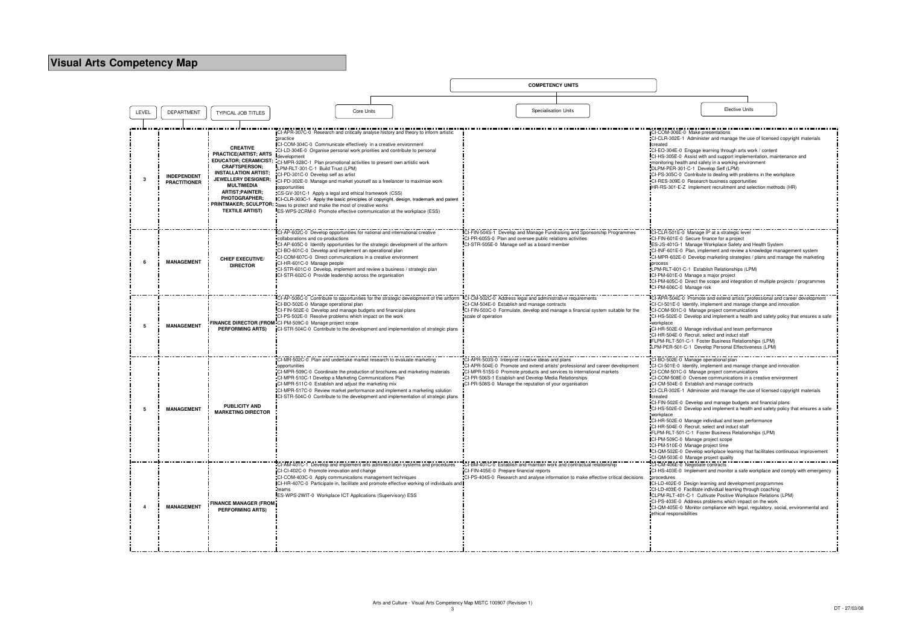|       |                                           |                                                                                                                                                                                                                                                                                                                                             |                                                                                                                                                                                                                                                                                                                                                                                                                                                                                                                                                              |            |                                                                                                                                                                                                                                                  |                                                                                                                                                                                                                                                                                                                                | <b>COMPETENCY UNITS</b>     |                                                                                     |                                                                                                                                                                                                                                        |                                                                                                                                                                                                                                                                                                                                                                                                                                                                                                                                                                                    |                                                                                   |
|-------|-------------------------------------------|---------------------------------------------------------------------------------------------------------------------------------------------------------------------------------------------------------------------------------------------------------------------------------------------------------------------------------------------|--------------------------------------------------------------------------------------------------------------------------------------------------------------------------------------------------------------------------------------------------------------------------------------------------------------------------------------------------------------------------------------------------------------------------------------------------------------------------------------------------------------------------------------------------------------|------------|--------------------------------------------------------------------------------------------------------------------------------------------------------------------------------------------------------------------------------------------------|--------------------------------------------------------------------------------------------------------------------------------------------------------------------------------------------------------------------------------------------------------------------------------------------------------------------------------|-----------------------------|-------------------------------------------------------------------------------------|----------------------------------------------------------------------------------------------------------------------------------------------------------------------------------------------------------------------------------------|------------------------------------------------------------------------------------------------------------------------------------------------------------------------------------------------------------------------------------------------------------------------------------------------------------------------------------------------------------------------------------------------------------------------------------------------------------------------------------------------------------------------------------------------------------------------------------|-----------------------------------------------------------------------------------|
|       |                                           |                                                                                                                                                                                                                                                                                                                                             |                                                                                                                                                                                                                                                                                                                                                                                                                                                                                                                                                              |            |                                                                                                                                                                                                                                                  |                                                                                                                                                                                                                                                                                                                                |                             |                                                                                     |                                                                                                                                                                                                                                        |                                                                                                                                                                                                                                                                                                                                                                                                                                                                                                                                                                                    |                                                                                   |
| LEVEL | <b>DEPARTMENT</b>                         | <b>TYPICAL JOB TITLES</b>                                                                                                                                                                                                                                                                                                                   |                                                                                                                                                                                                                                                                                                                                                                                                                                                                                                                                                              | Core Units |                                                                                                                                                                                                                                                  |                                                                                                                                                                                                                                                                                                                                | <b>Specialisation Units</b> |                                                                                     |                                                                                                                                                                                                                                        | <b>Elective Units</b>                                                                                                                                                                                                                                                                                                                                                                                                                                                                                                                                                              |                                                                                   |
|       |                                           |                                                                                                                                                                                                                                                                                                                                             |                                                                                                                                                                                                                                                                                                                                                                                                                                                                                                                                                              |            |                                                                                                                                                                                                                                                  |                                                                                                                                                                                                                                                                                                                                |                             |                                                                                     |                                                                                                                                                                                                                                        |                                                                                                                                                                                                                                                                                                                                                                                                                                                                                                                                                                                    |                                                                                   |
|       | <b>INDEPENDENT</b><br><b>PRACTITIONER</b> | <b>CREATIVE</b><br><b>PRACTICE(ARTIST; ARTS</b><br><b>EDUCATOR; CERAMICIST;</b><br><b>CRAFTSPERSON:</b><br><b>INSTALLATION ARTIST;</b><br><b>JEWELLERY DESIGNER:</b><br>MULTIMEDIA<br><b>ARTIST:PAINTER:</b><br><b>PHOTOGRAPHER:</b><br>PRINTMAKER; SCULPTOR; laws to protect and make the most of creative works<br><b>TEXTILE ARTIST)</b> | practice<br>CI-COM-304C-0 Communicate effectively in a creative environment<br>CI-LD-304E-0 Organise personal work priorities and contribute to personal<br>development<br>CI-MPR-328C-1 Plan promotional activities to present own artistic work<br>LPM-RLT-301-C-1 Build Trust (LPM)<br>CI-PD-301C-0 Develop self as artist<br>CI-PD-302E-0 Manage and market yourself as a freelancer to maximise work<br>opportunities<br>CS-GV-301C-1 Apply a legal and ethical framework (CSS)<br>ES-WPS-2CRM-0 Promote effective communication at the workplace (ESS) |            | CI-APR-307C-0 Research and critically analyse history and theory to inform artistic<br>ICI-CLR-303C-1 Apply the basic principles of copyright, design, trademark and patent                                                                      |                                                                                                                                                                                                                                                                                                                                |                             |                                                                                     | CI-COM-306E-0 Make presentations<br>created<br>DLPM-PER-301-C-1 Develop Self (LPM)                                                                                                                                                     | CI-CLR-302E-1 Administer and manage the use of licensed copyright materials<br>CI-EO-304E-0 Engage learning through arts work / content<br>CI-HS-305E-0 Assist with and support implementation, maintenance and<br>monitoring health and safety in a working environment<br>CI-PS-305C-0 Contribute to dealing with problems in the workplace<br>CI-RES-309E-0 Research business opportunities<br>HR-RS-301-E-Z Implement recruitment and selection methods (HR)                                                                                                                   |                                                                                   |
|       | <b>MANAGEMENT</b>                         | <b>CHIEF EXECUTIVE/</b><br><b>DIRECTOR</b>                                                                                                                                                                                                                                                                                                  | CI-AP-602C-0 Develop opportunities for national and international creative<br>collaborations and co-productions<br>CI-BO-601C-0 Develop and implement an operational plan<br>CI-COM-607C-0 Direct communications in a creative environment<br>CI-HR-601C-0 Manage people<br>CI-STR-601C-0 Develop, implement and review a business / strategic plan<br>CI-STR-602C-0 Provide leadership across the organisation                                                                                                                                              |            | CI-AP-605C-0 Identify opportunities for the strategic development of the artform                                                                                                                                                                 | CI-FIN-504S-1 Develop and Manage Fundraising and Sponsorship Programmes<br>CI-PR-605S-0 Plan and oversee public relations activities<br>CI-STR-505E-0 Manage self as a board member                                                                                                                                            |                             |                                                                                     | CI-FIN-601E-0 Secure finance for a project<br>process<br>CI-PM-601E-0 Manage a major project<br>CI-PM-606C-0 Manage risk                                                                                                               | CI-CLR-501E-0 Manage IP at a strategic level<br>ES-JS-401G-1 Manage Workplace Safety and Health System<br>CI-INF-601E-0 Plan, implement and review a knowledge management system<br>CI-MPR-602E-0 Develop marketing strategies / plans and manage the marketing<br>LPM-RLT-601-C-1 Establish Relationships (LPM)<br>CI-PM-605C-0 Direct the scope and integration of multiple projects / programmes                                                                                                                                                                                |                                                                                   |
|       | <b>MANAGEMENT</b>                         | FINANCE DIRECTOR (FROM CI-PM-509C-0 Manage project scope<br><b>PERFORMING ARTS)</b>                                                                                                                                                                                                                                                         | CI-BO-502E-0 Manage operational plan<br>CI-FIN-502E-0 Develop and manage budgets and financial plans<br>CI-PS-502E-0 Resolve problems which impact on the work                                                                                                                                                                                                                                                                                                                                                                                               |            | CI-AP-506C-0 Contribute to opportunities for the strategic development of the artform ICI-CM-502C-0 Address legal and administrative requirements<br>CI-STR-504C-0 Contribute to the development and implementation of strategic plans           | CI-CM-504E-0 Establish and manage contracts<br>scale of operation                                                                                                                                                                                                                                                              |                             | "CI-FIN-503C-0 Formulate, develop and manage a financial system suitable for the    | workplace<br>CI-HR-504E-0 Recruit, select and induct staff                                                                                                                                                                             | CI-APR-504E-0 Promote and extend artists' professional and career development<br>CI-CI-501E-0 Identify, implement and manage change and innovation<br>CI-COM-501C-0 Manage project communications<br>CI-HR-502E-0 Manage individual and team performance<br>FLPM-RLT-501-C-1 Foster Business Relationships (LPM)<br>LPM-PER-501-C-1 Develop Personal Effectiveness (LPM)                                                                                                                                                                                                           | CI-HS-502E-0 Develop and implement a health and safety policy that ensures a safe |
|       | <b>MANAGEMENT</b>                         | <b>PUBLICITY AND</b><br><b>MARKETING DIRECTOR</b>                                                                                                                                                                                                                                                                                           | CI-MR-502C-0 Plan and undertake market research to evaluate marketing<br>opportunities<br>CI-MPR-510C-1 Develop a Marketing Communications Plan<br>CI-MPR-511C-0 Establish and adjust the marketing mix                                                                                                                                                                                                                                                                                                                                                      |            | CI-MPR-509C-0 Coordinate the production of brochures and marketing materials<br>CI-MPR-517C-0 Review market performance and implement a marketing solution<br>ICI-STR-504C-0 Contribute to the development and implementation of strategic plans | CI-APR-503S-0 Interpret creative ideas and plans<br>CI-APR-504E-0 Promote and extend artists' professional and career development<br>CI-MPR-515S-0 Promote products and services to international markets<br>CI-PR-506S-1 Establish and Develop Media Relationships<br>CI-PR-508S-0 Manage the reputation of your organisation |                             |                                                                                     | CI-BO-502E-0 Manage operational plan<br><b>I</b> created<br>workplace<br>CI-HR-504E-0 Recruit, select and induct staff<br>CI-PM-509C-0 Manage project scope<br>CI-PM-510E-0 Manage project time<br>CI-QM-503E-0 Manage project quality | CI-CI-501E-0 Identify, implement and manage change and innovation<br>CI-COM-501C-0 Manage project communications<br>CI-COM-508E-0 Oversee communications in a creative environment<br>CI-CM-504E-0 Establish and manage contracts<br>CI-CLR-302E-1 Administer and manage the use of licensed copyright materials<br>CI-FIN-502E-0 Develop and manage budgets and financial plans<br>CI-HR-502E-0 Manage individual and team performance<br>FLPM-RLT-501-C-1 Foster Business Relationships (LPM)<br>CI-QM-502E-0 Develop workplace learning that facilitates continuous improvement | CI-HS-502E-0 Develop and implement a health and safety policy that ensures a safe |
|       | <b>MANAGEMENT</b>                         | <b>FINANCE MANAGER (FROM</b><br><b>PERFORMING ARTS)</b>                                                                                                                                                                                                                                                                                     | CI-CI-402C-0 Promote innovation and change<br>CI-COM-403C-0 Apply communications management techniques<br>teams<br>ES-WPS-2WIT-0 Workplace ICT Applications (Supervisory) ESS                                                                                                                                                                                                                                                                                                                                                                                |            | CI-AM-401C-1 Develop and implement arts administration systems and procedures<br>CI-HR-407C-0 Participate in, facilitate and promote effective working of individuals and                                                                        | CI-BM-401C-0 Establish and maintain work and contractual relationship<br>CI-FIN-405E-0 Prepare financial reports                                                                                                                                                                                                               |                             | "CI-PS-404S-0 Research and analyse information to make effective critical decisions | CI-CM-406E-0 Negotiate contracts<br>procedures<br>ethical responsibilities                                                                                                                                                             | CI-LD-402E-0 Design learning and development programmes<br>CI-LD-403E-0 Facilitate individual learning through coaching<br>CLPM-RLT-401-C-1 Cultivate Positive Workplace Relations (LPM)<br>CI-PS-403E-0 Address problems which impact on the work<br>CI-QM-405E-0 Monitor compliance with legal, regulatory, social, environmental and                                                                                                                                                                                                                                            | ICI-HS-403E-0 Implement and monitor a safe workplace and comply with emergency    |